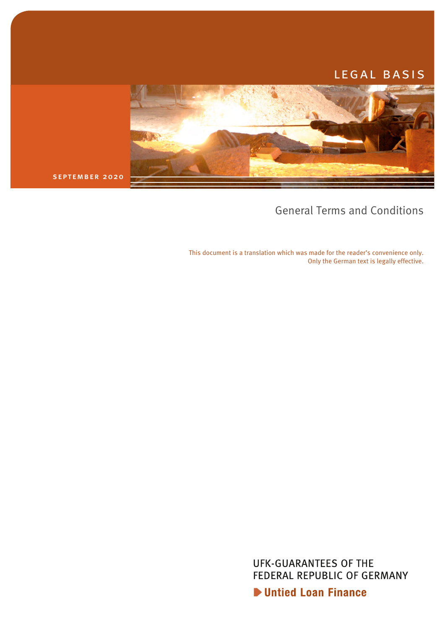# LEGAL BASIS



september 2020

# General Terms and Conditions

This document is a translation which was made for the reader's convenience only. Only the German text is legally effective.

> **UFK-GUARANTEES OF THE** FEDERAL REPUBLIC OF GERMANY

**D** Untied Loan Finance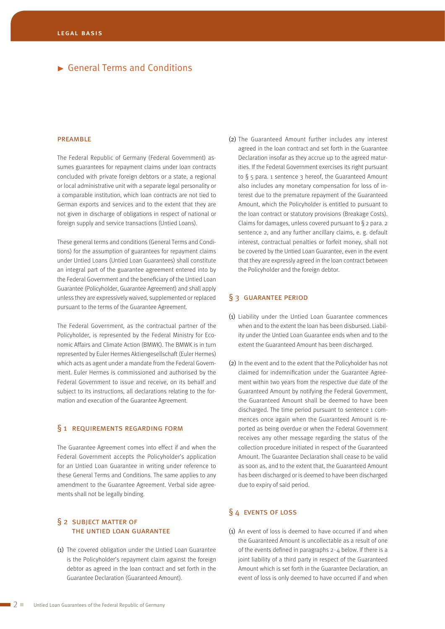#### **PREAMBLE**

The Federal Republic of Germany (Federal Government) assumes guarantees for repayment claims under loan contracts concluded with private foreign debtors or a state, a regional or local administrative unit with a separate legal personality or a comparable institution, which loan contracts are not tied to German exports and services and to the extent that they are not given in discharge of obligations in respect of national or foreign supply and service transactions (Untied Loans).

These general terms and conditions (General Terms and Conditions) for the assumption of guarantees for repayment claims under Untied Loans (Untied Loan Guarantees) shall constitute an integral part of the guarantee agreement entered into by the Federal Government and the beneficiary of the Untied Loan Guarantee (Policyholder, Guarantee Agreement) and shall apply unless they are expressively waived, supplemented or replaced pursuant to the terms of the Guarantee Agreement.

The Federal Government, as the contractual partner of the Policyholder, is represented by the Federal Ministry for Economic Affairs and Climate Action (BMWK). The BMWK is in turn represented by Euler Hermes Aktiengesellschaft (Euler Hermes) which acts as agent under a mandate from the Federal Government. Euler Hermes is commissioned and authorised by the Federal Government to issue and receive, on its behalf and subject to its instructions, all declarations relating to the formation and execution of the Guarantee Agreement.

## § 1 REQUIREMENTS REGARDING FORM

The Guarantee Agreement comes into effect if and when the Federal Government accepts the Policyholder's application for an Untied Loan Guarantee in writing under reference to these General Terms and Conditions. The same applies to any amendment to the Guarantee Agreement. Verbal side agreements shall not be legally binding.

## § 2 subject matter of the untied loan guarantee

(1) The covered obligation under the Untied Loan Guarantee is the Policyholder's repayment claim against the foreign debtor as agreed in the loan contract and set forth in the Guarantee Declaration (Guaranteed Amount).

(2) The Guaranteed Amount further includes any interest agreed in the loan contract and set forth in the Guarantee Declaration insofar as they accrue up to the agreed maturities. If the Federal Government exercises its right pursuant to § 5 para. 1 sentence 3 hereof, the Guaranteed Amount also includes any monetary compensation for loss of interest due to the premature repayment of the Guaranteed Amount, which the Policyholder is entitled to pursuant to the loan contract or statutory provisions (Breakage Costs). Claims for damages, unless covered pursuant to § 2 para. 2 sentence 2, and any further ancillary claims, e. g. default interest, contractual penalties or forfeit money, shall not be covered by the Untied Loan Guarantee, even in the event that they are expressly agreed in the loan contract between the Policyholder and the foreign debtor.

## § 3 guarantee period

- (1) Liability under the Untied Loan Guarantee commences when and to the extent the loan has been disbursed. Liability under the Untied Loan Guarantee ends when and to the extent the Guaranteed Amount has been discharged.
- (2) In the event and to the extent that the Policyholder has not claimed for indemnification under the Guarantee Agreement within two years from the respective due date of the Guaranteed Amount by notifying the Federal Government, the Guaranteed Amount shall be deemed to have been discharged. The time period pursuant to sentence 1 commences once again when the Guaranteed Amount is reported as being overdue or when the Federal Government receives any other message regarding the status of the collection procedure initiated in respect of the Guaranteed Amount. The Guarantee Declaration shall cease to be valid as soon as, and to the extent that, the Guaranteed Amount has been discharged or is deemed to have been discharged due to expiry of said period.

## § 4 events of loss

(1) An event of loss is deemed to have occurred if and when the Guaranteed Amount is uncollectable as a result of one of the events defined in paragraphs  $2 - 4$  below. If there is a joint liability of a third party in respect of the Guaranteed Amount which is set forth in the Guarantee Declaration, an event of loss is only deemed to have occurred if and when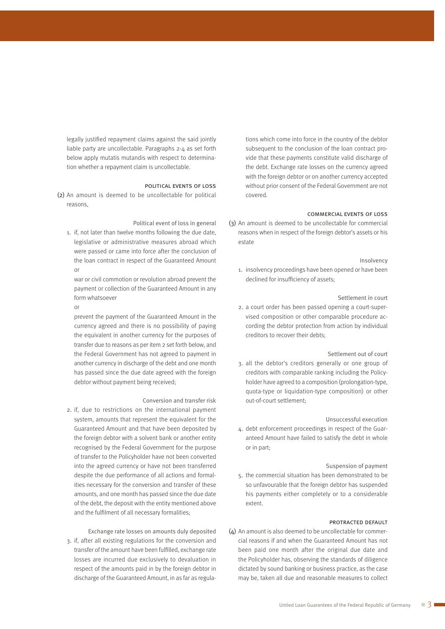legally justified repayment claims against the said jointly liable party are uncollectable. Paragraphs 2-4 as set forth below apply mutatis mutandis with respect to determination whether a repayment claim is uncollectable.

#### political events of loss

(2) An amount is deemed to be uncollectable for political reasons,

Political event of loss in general

1. if, not later than twelve months following the due date, legislative or administrative measures abroad which were passed or came into force after the conclusion of the loan contract in respect of the Guaranteed Amount or

war or civil commotion or revolution abroad prevent the payment or collection of the Guaranteed Amount in any form whatsoever

or

prevent the payment of the Guaranteed Amount in the currency agreed and there is no possibility of paying the equivalent in another currency for the purposes of transfer due to reasons as per item 2 set forth below, and the Federal Government has not agreed to payment in another currency in discharge of the debt and one month has passed since the due date agreed with the foreign debtor without payment being received;

#### Conversion and transfer risk

2. if, due to restrictions on the international payment system, amounts that represent the equivalent for the Guaranteed Amount and that have been deposited by the foreign debtor with a solvent bank or another entity recognised by the Federal Government for the purpose of transfer to the Policyholder have not been converted into the agreed currency or have not been transferred despite the due performance of all actions and formalities necessary for the conversion and transfer of these amounts, and one month has passed since the due date of the debt, the deposit with the entity mentioned above and the fulfilment of all necessary formalities;

Exchange rate losses on amounts duly deposited 3. if, after all existing regulations for the conversion and transfer of the amount have been fulfilled, exchange rate losses are incurred due exclusively to devaluation in respect of the amounts paid in by the foreign debtor in discharge of the Guaranteed Amount, in as far as regulations which come into force in the country of the debtor subsequent to the conclusion of the loan contract provide that these payments constitute valid discharge of the debt. Exchange rate losses on the currency agreed with the foreign debtor or on another currency accepted without prior consent of the Federal Government are not covered.

#### commercial events of loss

(3) An amount is deemed to be uncollectable for commercial reasons when in respect of the foreign debtor's assets or his estate

#### Insolvency

1. insolvency proceedings have been opened or have been declined for insufficiency of assets;

#### Settlement in court

2. a court order has been passed opening a court-supervised composition or other comparable procedure according the debtor protection from action by individual creditors to recover their debts;

#### Settlement out of court

3. all the debtor's creditors generally or one group of creditors with comparable ranking including the Policyholder have agreed to a composition (prolongation-type, quota-type or liquidation-type composition) or other out-of-court settlement;

Unsuccessful execution

4. debt enforcement proceedings in respect of the Guaranteed Amount have failed to satisfy the debt in whole or in part;

#### Suspension of payment

5. the commercial situation has been demonstrated to be so unfavourable that the foreign debtor has suspended his payments either completely or to a considerable extent.

#### protracted default

(4) An amount is also deemed to be uncollectable for commercial reasons if and when the Guaranteed Amount has not been paid one month after the original due date and the Policyholder has, observing the standards of diligence dictated by sound banking or business practice, as the case may be, taken all due and reasonable measures to collect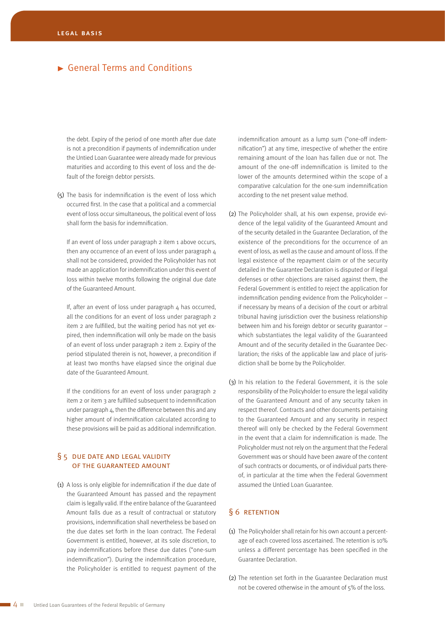the debt. Expiry of the period of one month after due date is not a precondition if payments of indemnification under the Untied Loan Guarantee were already made for previous maturities and according to this event of loss and the default of the foreign debtor persists.

(5) The basis for indemnification is the event of loss which occurred first. In the case that a political and a commercial event of loss occur simultaneous, the political event of loss shall form the basis for indemnification.

If an event of loss under paragraph 2 item 1 above occurs, then any occurrence of an event of loss under paragraph  $\Delta$ shall not be considered, provided the Policyholder has not made an application for indemnification under this event of loss within twelve months following the original due date of the Guaranteed Amount.

If, after an event of loss under paragraph  $4$  has occurred, all the conditions for an event of loss under paragraph 2 item 2 are fulfilled, but the waiting period has not yet expired, then indemnification will only be made on the basis of an event of loss under paragraph 2 item 2. Expiry of the period stipulated therein is not, however, a precondition if at least two months have elapsed since the original due date of the Guaranteed Amount.

If the conditions for an event of loss under paragraph 2 item 2 or item 3 are fulfilled subsequent to indemnification under paragraph 4, then the difference between this and any higher amount of indemnification calculated according to these provisions will be paid as additional indemnification.

## § 5 due date and legal validity of the guaranteed amount

(1) A loss is only eligible for indemnification if the due date of the Guaranteed Amount has passed and the repayment claim is legally valid. If the entire balance of the Guaranteed Amount falls due as a result of contractual or statutory provisions, indemnification shall nevertheless be based on the due dates set forth in the loan contract. The Federal Government is entitled, however, at its sole discretion, to pay indemnifications before these due dates ("one-sum indemnification"). During the indemnification procedure, the Policyholder is entitled to request payment of the

indemnification amount as a lump sum ("one-off indemnification") at any time, irrespective of whether the entire remaining amount of the loan has fallen due or not. The amount of the one-off indemnification is limited to the lower of the amounts determined within the scope of a comparative calculation for the one-sum indemnification according to the net present value method.

- (2) The Policyholder shall, at his own expense, provide evidence of the legal validity of the Guaranteed Amount and of the security detailed in the Guarantee Declaration, of the existence of the preconditions for the occurrence of an event of loss, as well as the cause and amount of loss. If the legal existence of the repayment claim or of the security detailed in the Guarantee Declaration is disputed or if legal defenses or other objections are raised against them, the Federal Government is entitled to reject the application for indemnification pending evidence from the Policyholder – if necessary by means of a decision of the court or arbitral tribunal having jurisdiction over the business relationship between him and his foreign debtor or security guarantor – which substantiates the legal validity of the Guaranteed Amount and of the security detailed in the Guarantee Declaration; the risks of the applicable law and place of jurisdiction shall be borne by the Policyholder.
- (3) In his relation to the Federal Government, it is the sole responsibility of the Policyholder to ensure the legal validity of the Guaranteed Amount and of any security taken in respect thereof. Contracts and other documents pertaining to the Guaranteed Amount and any security in respect thereof will only be checked by the Federal Government in the event that a claim for indemnification is made. The Policyholder must not rely on the argument that the Federal Government was or should have been aware of the content of such contracts or documents, or of individual parts thereof, in particular at the time when the Federal Government assumed the Untied Loan Guarantee.

## § 6 retention

- (1) The Policyholder shall retain for his own account a percentage of each covered loss ascertained. The retention is 10% unless a different percentage has been specified in the Guarantee Declaration.
- (2) The retention set forth in the Guarantee Declaration must not be covered otherwise in the amount of 5% of the loss.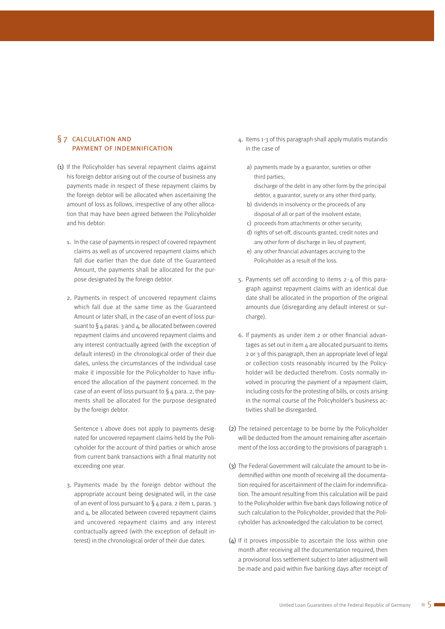## § 7 calculation and payment of indemnification

- (1) If the Policyholder has several repayment claims against his foreign debtor arising out of the course of business any payments made in respect of these repayment claims by the foreign debtor will be allocated when ascertaining the amount of loss as follows, irrespective of any other allocation that may have been agreed between the Policyholder and his debtor:
	- 1. In the case of payments in respect of covered repayment claims as well as of uncovered repayment claims which fall due earlier than the due date of the Guaranteed Amount, the payments shall be allocated for the purpose designated by the foreign debtor.
	- 2. Payments in respect of uncovered repayment claims which fall due at the same time as the Guaranteed Amount or later shall, in the case of an event of loss pursuant to  $\S$  4 paras. 3 and 4, be allocated between covered repayment claims and uncovered repayment claims and any interest contractually agreed (with the exception of default interest) in the chronological order of their due dates, unless the circumstances of the individual case make it impossible for the Policyholder to have influenced the allocation of the payment concerned. In the case of an event of loss pursuant to  $\S$  4 para. 2, the payments shall be allocated for the purpose designated by the foreign debtor.

Sentence 1 above does not apply to payments designated for uncovered repayment claims held by the Policyholder for the account of third parties or which arose from current bank transactions with a final maturity not exceeding one year.

3. Payments made by the foreign debtor without the appropriate account being designated will, in the case of an event of loss pursuant to  $\S$  4 para. 2 item 1, paras. 3 and 4, be allocated between covered repayment claims and uncovered repayment claims and any interest contractually agreed (with the exception of default interest) in the chronological order of their due dates.

- 4. Items 1-3 of this paragraph shall apply mutatis mutandis in the case of
	- a) payments made by a guarantor, sureties or other third parties; discharge of the debt in any other form by the principal
	- debtor, a guarantor, surety or any other third party; b) dividends in insolvency or the proceeds of any disposal of all or part of the insolvent estate;
	- c) proceeds from attachments or other security;
	- d) rights of set-off, discounts granted, credit notes and any other form of discharge in lieu of payment;
	- e) any other financial advantages accruing to the Policyholder as a result of the loss.
- 5. Payments set off according to items 2-4 of this paragraph against repayment claims with an identical due date shall be allocated in the proportion of the original amounts due (disregarding any default interest or surcharge).
- 6. If payments as under item 2 or other financial advantages as set out in item 4 are allocated pursuant to items 2 or 3 of this paragraph, then an appropriate level of legal or collection costs reasonably incurred by the Policyholder will be deducted therefrom. Costs normally involved in procuring the payment of a repayment claim, including costs for the protesting of bills, or costs arising in the normal course of the Policyholder's business activities shall be disregarded.
- (2) The retained percentage to be borne by the Policyholder will be deducted from the amount remaining after ascertainment of the loss according to the provisions of paragraph 1.
- (3) The Federal Government will calculate the amount to be indemnified within one month of receiving all the documentation required for ascertainment of the claim for indemnification. The amount resulting from this calculation will be paid to the Policyholder within five bank days following notice of such calculation to the Policyholder, provided that the Policyholder has acknowledged the calculation to be correct.
- (4) If it proves impossible to ascertain the loss within one month after receiving all the documentation required, then a provisional loss settlement subject to later adjustment will be made and paid within five banking days after receipt of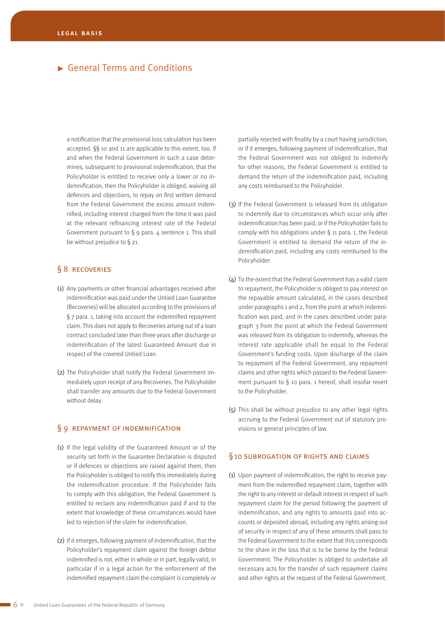a notification that the provisional loss calculation has been accepted. §§ 10 and 11 are applicable to this extent, too. If and when the Federal Government in such a case determines, subsequent to provisional indemnification, that the Policyholder is entitled to receive only a lower or no indemnification, then the Policyholder is obliged, waiving all defences and objections, to repay on first written demand from the Federal Government the excess amount indemnified, including interest charged from the time it was paid at the relevant refinancing interest rate of the Federal Government pursuant to  $\S$  9 para. 4 sentence 1. This shall be without prejudice to § 21.

## § 8 RECOVERIES

- (1) Any payments or other financial advantages received after indemnification was paid under the Untied Loan Guarantee (Recoveries) will be allocated according to the provisions of § 7 para. 1, taking into account the indemnified repayment claim. This does not apply to Recoveries arising out of a loan contract concluded later than three years after discharge or indemnification of the latest Guaranteed Amount due in respect of the covered Untied Loan.
- (2) The Policyholder shall notify the Federal Government immediately upon receipt of any Recoveries. The Policyholder shall transfer any amounts due to the Federal Government without delay.

## § 9 REPAYMENT OF INDEMNIFICATION

- (1) If the legal validity of the Guaranteed Amount or of the security set forth in the Guarantee Declaration is disputed or if defences or objections are raised against them, then the Policyholder is obliged to notify this immediately during the indemnification procedure. If the Policyholder fails to comply with this obligation, the Federal Government is entitled to reclaim any indemnification paid if and to the extent that knowledge of these circumstances would have led to rejection of the claim for indemnification.
- (2) If it emerges, following payment of indemnification, that the Policyholder's repayment claim against the foreign debtor indemnified is not, either in whole or in part, legally valid, in particular if in a legal action for the enforcement of the indemnified repayment claim the complaint is completely or

partially rejected with finality by a court having jurisdiction, or if it emerges, following payment of indemnification, that the Federal Government was not obliged to indemnify for other reasons, the Federal Government is entitled to demand the return of the indemnification paid, including any costs reimbursed to the Policyholder.

- (3) If the Federal Government is released from its obligation to indemnify due to circumstances which occur only after indemnification has been paid, or if the Policyholder fails to comply with his obligations under § 11 para. 1, the Federal Government is entitled to demand the return of the indemnification paid, including any costs reimbursed to the Policyholder.
- (4) To the extent that the Federal Government has a valid claim to repayment, the Policyholder is obliged to pay interest on the repayable amount calculated, in the cases described under paragraphs 1 and 2, from the point at which indemnification was paid, and in the cases described under paragraph 3 from the point at which the Federal Government was released from its obligation to indemnify, whereas the interest rate applicable shall be equal to the Federal Government's funding costs. Upon discharge of the claim to repayment of the Federal Government, any repayment claims and other rights which passed to the Federal Government pursuant to § 10 para. 1 hereof, shall insofar revert to the Policyholder.
- (5) This shall be without prejudice to any other legal rights accruing to the Federal Government out of statutory provisions or general principles of law.

#### §10 subrogation of rights and claims

(1) Upon payment of indemnification, the right to receive payment from the indemnified repayment claim, together with the right to any interest or default interest in respect of such repayment claim for the period following the payment of indemnification, and any rights to amounts paid into accounts or deposited abroad, including any rights arising out of security in respect of any of these amounts shall pass to the Federal Government to the extent that this corresponds to the share in the loss that is to be borne by the Federal Government. The Policyholder is obliged to undertake all necessary acts for the transfer of such repayment claims and other rights at the request of the Federal Government.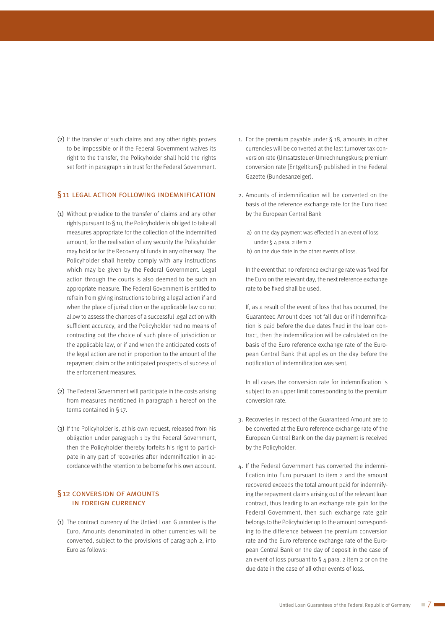(2) If the transfer of such claims and any other rights proves to be impossible or if the Federal Government waives its right to the transfer, the Policyholder shall hold the rights set forth in paragraph 1 in trust for the Federal Government.

#### §11 legal action following indemnification

- (1) Without prejudice to the transfer of claims and any other rights pursuant to § 10, the Policyholder is obliged to take all measures appropriate for the collection of the indemnified amount, for the realisation of any security the Policyholder may hold or for the Recovery of funds in any other way. The Policyholder shall hereby comply with any instructions which may be given by the Federal Government. Legal action through the courts is also deemed to be such an appropriate measure. The Federal Government is entitled to refrain from giving instructions to bring a legal action if and when the place of jurisdiction or the applicable law do not allow to assess the chances of a successful legal action with sufficient accuracy, and the Policyholder had no means of contracting out the choice of such place of jurisdiction or the applicable law, or if and when the anticipated costs of the legal action are not in proportion to the amount of the repayment claim or the anticipated prospects of success of the enforcement measures.
- (2) The Federal Government will participate in the costs arising from measures mentioned in paragraph 1 hereof on the terms contained in § 17.
- (3) If the Policyholder is, at his own request, released from his obligation under paragraph 1 by the Federal Government, then the Policyholder thereby forfeits his right to participate in any part of recoveries after indemnification in accordance with the retention to be borne for his own account.

## §12 conversion of amounts in foreign currency

(1) The contract currency of the Untied Loan Guarantee is the Euro. Amounts denominated in other currencies will be converted, subject to the provisions of paragraph 2, into Euro as follows:

- 1. For the premium payable under § 18, amounts in other currencies will be converted at the last turnover tax conversion rate (Umsatzsteuer-Umrechnungskurs; premium conversion rate [Entgeltkurs]) published in the Federal Gazette (Bundesanzeiger).
- 2. Amounts of indemnification will be converted on the basis of the reference exchange rate for the Euro fixed by the European Central Bank
	- a) on the day payment was effected in an event of loss under § 4 para. 2 item 2
	- b) on the due date in the other events of loss.

In the event that no reference exchange rate was fixed for the Euro on the relevant day, the next reference exchange rate to be fixed shall be used.

If, as a result of the event of loss that has occurred, the Guaranteed Amount does not fall due or if indemnification is paid before the due dates fixed in the loan contract, then the indemnification will be calculated on the basis of the Euro reference exchange rate of the European Central Bank that applies on the day before the notification of indemnification was sent.

In all cases the conversion rate for indemnification is subject to an upper limit corresponding to the premium conversion rate.

- 3. Recoveries in respect of the Guaranteed Amount are to be converted at the Euro reference exchange rate of the European Central Bank on the day payment is received by the Policyholder.
- 4. If the Federal Government has converted the indemnification into Euro pursuant to item 2 and the amount recovered exceeds the total amount paid for indemnifying the repayment claims arising out of the relevant loan contract, thus leading to an exchange rate gain for the Federal Government, then such exchange rate gain belongs to the Policyholder up to the amount corresponding to the difference between the premium conversion rate and the Euro reference exchange rate of the European Central Bank on the day of deposit in the case of an event of loss pursuant to  $\S$  4 para. 2 item 2 or on the due date in the case of all other events of loss.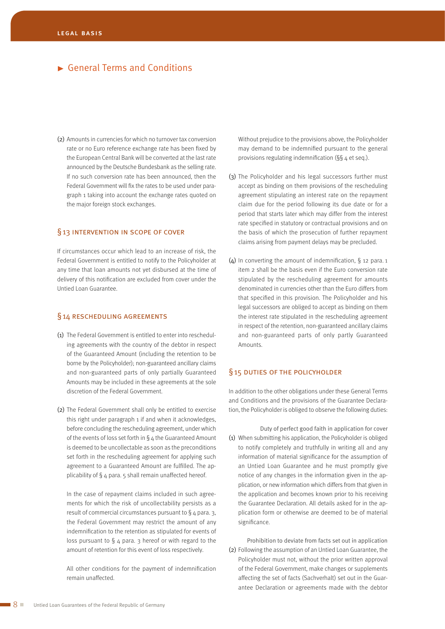(2) Amounts in currencies for which no turnover tax conversion rate or no Euro reference exchange rate has been fixed by the European Central Bank will be converted at the last rate announced by the Deutsche Bundesbank as the selling rate. If no such conversion rate has been announced, then the Federal Government will fix the rates to be used under paragraph 1 taking into account the exchange rates quoted on the major foreign stock exchanges.

## §13 INTERVENTION IN SCOPE OF COVER

If circumstances occur which lead to an increase of risk, the Federal Government is entitled to notify to the Policyholder at any time that loan amounts not yet disbursed at the time of delivery of this notification are excluded from cover under the Untied Loan Guarantee.

## §14 rescheduling agreements

- (1) The Federal Government is entitled to enter into rescheduling agreements with the country of the debtor in respect of the Guaranteed Amount (including the retention to be borne by the Policyholder); non-guaranteed ancillary claims and non-guaranteed parts of only partially Guaranteed Amounts may be included in these agreements at the sole discretion of the Federal Government.
- (2) The Federal Government shall only be entitled to exercise this right under paragraph 1 if and when it acknowledges, before concluding the rescheduling agreement, under which of the events of loss set forth in  $\S$  4 the Guaranteed Amount is deemed to be uncollectable as soon as the preconditions set forth in the rescheduling agreement for applying such agreement to a Guaranteed Amount are fulfilled. The applicability of § 4 para. 5 shall remain unaffected hereof.

In the case of repayment claims included in such agreements for which the risk of uncollectability persists as a result of commercial circumstances pursuant to  $\S$  4 para. 3, the Federal Government may restrict the amount of any indemnification to the retention as stipulated for events of loss pursuant to  $\S$  4 para. 3 hereof or with regard to the amount of retention for this event of loss respectively.

All other conditions for the payment of indemnification remain unaffected.

Without prejudice to the provisions above, the Policyholder may demand to be indemnified pursuant to the general provisions regulating indemnification (§§ 4 et seq.).

- (3) The Policyholder and his legal successors further must accept as binding on them provisions of the rescheduling agreement stipulating an interest rate on the repayment claim due for the period following its due date or for a period that starts later which may differ from the interest rate specified in statutory or contractual provisions and on the basis of which the prosecution of further repayment claims arising from payment delays may be precluded.
- (4) In converting the amount of indemnification, § 12 para. 1 item 2 shall be the basis even if the Euro conversion rate stipulated by the rescheduling agreement for amounts denominated in currencies other than the Euro differs from that specified in this provision. The Policyholder and his legal successors are obliged to accept as binding on them the interest rate stipulated in the rescheduling agreement in respect of the retention, non-guaranteed ancillary claims and non-guaranteed parts of only partly Guaranteed **Amounts**

## §15 DUTIES OF THE POLICYHOLDER

In addition to the other obligations under these General Terms and Conditions and the provisions of the Guarantee Declaration, the Policyholder is obliged to observe the following duties:

Duty of perfect good faith in application for cover (1) When submitting his application, the Policyholder is obliged to notify completely and truthfully in writing all and any information of material significance for the assumption of an Untied Loan Guarantee and he must promptly give notice of any changes in the information given in the application, or new information which differs from that given in the application and becomes known prior to his receiving the Guarantee Declaration. All details asked for in the application form or otherwise are deemed to be of material significance.

Prohibition to deviate from facts set out in application (2) Following the assumption of an Untied Loan Guarantee, the Policyholder must not, without the prior written approval of the Federal Government, make changes or supplements affecting the set of facts (Sachverhalt) set out in the Guarantee Declaration or agreements made with the debtor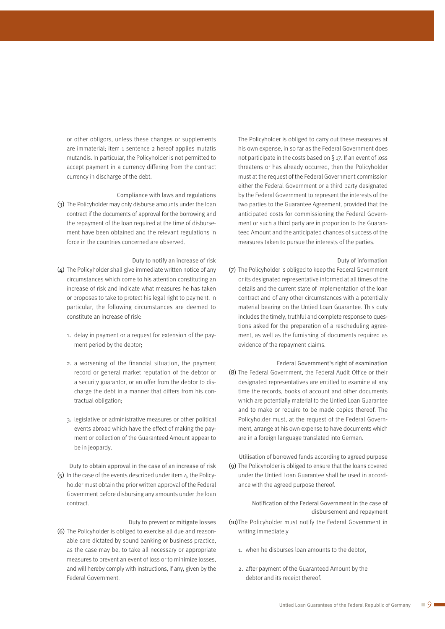or other obligors, unless these changes or supplements are immaterial; item 1 sentence 2 hereof applies mutatis mutandis. In particular, the Policyholder is not permitted to accept payment in a currency differing from the contract currency in discharge of the debt.

Compliance with laws and regulations (3) The Policyholder may only disburse amounts under the loan contract if the documents of approval for the borrowing and the repayment of the loan required at the time of disbursement have been obtained and the relevant regulations in force in the countries concerned are observed.

Duty to notify an increase of risk

- (4) The Policyholder shall give immediate written notice of any circumstances which come to his attention constituting an increase of risk and indicate what measures he has taken or proposes to take to protect his legal right to payment. In particular, the following circumstances are deemed to constitute an increase of risk:
	- 1. delay in payment or a request for extension of the payment period by the debtor;
	- 2. a worsening of the financial situation, the payment record or general market reputation of the debtor or a security guarantor, or an offer from the debtor to discharge the debt in a manner that differs from his contractual obligation;
	- 3. legislative or administrative measures or other political events abroad which have the effect of making the payment or collection of the Guaranteed Amount appear to be in jeopardy.
- Duty to obtain approval in the case of an increase of risk (5) In the case of the events described under item 4, the Policyholder must obtain the prior written approval of the Federal Government before disbursing any amounts under the loan contract.

#### Duty to prevent or mitigate losses

(6) The Policyholder is obliged to exercise all due and reasonable care dictated by sound banking or business practice, as the case may be, to take all necessary or appropriate measures to prevent an event of loss or to minimize losses, and will hereby comply with instructions, if any, given by the Federal Government.

The Policyholder is obliged to carry out these measures at his own expense, in so far as the Federal Government does not participate in the costs based on § 17. If an event of loss threatens or has already occurred, then the Policyholder must at the request of the Federal Government commission either the Federal Government or a third party designated by the Federal Government to represent the interests of the two parties to the Guarantee Agreement, provided that the anticipated costs for commissioning the Federal Government or such a third party are in proportion to the Guaranteed Amount and the anticipated chances of success of the measures taken to pursue the interests of the parties.

Duty of information

- (7) The Policyholder is obliged to keep the Federal Government or its designated representative informed at all times of the details and the current state of implementation of the loan contract and of any other circumstances with a potentially material bearing on the Untied Loan Guarantee. This duty includes the timely, truthful and complete response to questions asked for the preparation of a rescheduling agreement, as well as the furnishing of documents required as evidence of the repayment claims.
- Federal Government's right of examination (8) The Federal Government, the Federal Audit Office or their designated representatives are entitled to examine at any time the records, books of account and other documents which are potentially material to the Untied Loan Guarantee and to make or require to be made copies thereof. The Policyholder must, at the request of the Federal Government, arrange at his own expense to have documents which are in a foreign language translated into German.

Utilisation of borrowed funds according to agreed purpose (9) The Policyholder is obliged to ensure that the loans covered under the Untied Loan Guarantee shall be used in accordance with the agreed purpose thereof.

> Notification of the Federal Government in the case of disbursement and repayment

- (10)The Policyholder must notify the Federal Government in writing immediately
	- 1. when he disburses loan amounts to the debtor,
	- 2. after payment of the Guaranteed Amount by the debtor and its receipt thereof.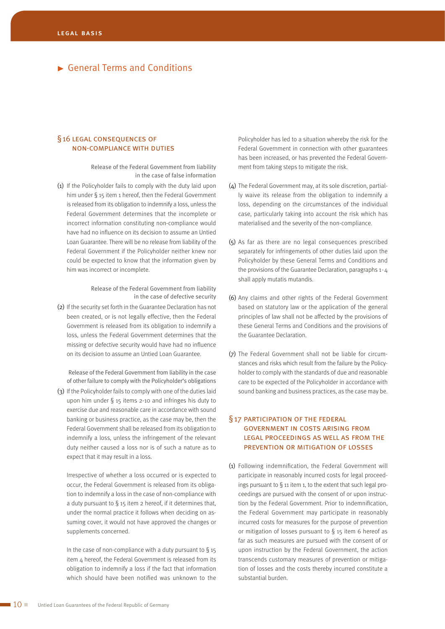## §16 LEGAL CONSEQUENCES OF non-compliance with duties

Release of the Federal Government from liability in the case of false information

(1) If the Policyholder fails to comply with the duty laid upon him under § 15 item 1 hereof, then the Federal Government is released from its obligation to indemnify a loss, unless the Federal Government determines that the incomplete or incorrect information constituting non-compliance would have had no influence on its decision to assume an Untied Loan Guarantee. There will be no release from liability of the Federal Government if the Policyholder neither knew nor could be expected to know that the information given by him was incorrect or incomplete.

#### Release of the Federal Government from liability in the case of defective security

(2) If the security set forth in the Guarantee Declaration has not been created, or is not legally effective, then the Federal Government is released from its obligation to indemnify a loss, unless the Federal Government determines that the missing or defective security would have had no influence on its decision to assume an Untied Loan Guarantee.

Release of the Federal Government from liability in the case of other failure to comply with the Policyholder's obligations

(3) If the Policyholder fails to comply with one of the duties laid upon him under § 15 items 2-10 and infringes his duty to exercise due and reasonable care in accordance with sound banking or business practice, as the case may be, then the Federal Government shall be released from its obligation to indemnify a loss, unless the infringement of the relevant duty neither caused a loss nor is of such a nature as to expect that it may result in a loss.

Irrespective of whether a loss occurred or is expected to occur, the Federal Government is released from its obligation to indemnify a loss in the case of non-compliance with a duty pursuant to  $\S$  15 item 2 hereof, if it determines that, under the normal practice it follows when deciding on assuming cover, it would not have approved the changes or supplements concerned.

In the case of non-compliance with a duty pursuant to  $\S$  15 item 4 hereof, the Federal Government is released from its obligation to indemnify a loss if the fact that information which should have been notified was unknown to the Policyholder has led to a situation whereby the risk for the Federal Government in connection with other guarantees has been increased, or has prevented the Federal Government from taking steps to mitigate the risk.

- (4) The Federal Government may, at its sole discretion, partially waive its release from the obligation to indemnify a loss, depending on the circumstances of the individual case, particularly taking into account the risk which has materialised and the severity of the non-compliance.
- (5) As far as there are no legal consequences prescribed separately for infringements of other duties laid upon the Policyholder by these General Terms and Conditions and the provisions of the Guarantee Declaration, paragraphs 1-4 shall apply mutatis mutandis.
- (6) Any claims and other rights of the Federal Government based on statutory law or the application of the general principles of law shall not be affected by the provisions of these General Terms and Conditions and the provisions of the Guarantee Declaration.
- (7) The Federal Government shall not be liable for circumstances and risks which result from the failure by the Policyholder to comply with the standards of due and reasonable care to be expected of the Policyholder in accordance with sound banking and business practices, as the case may be.

## §17 participation of the federal government in costs arising from legal proceedings as well as from the prevention or mitigation of losses

(1) Following indemnification, the Federal Government will participate in reasonably incurred costs for legal proceedings pursuant to § 11 item 1, to the extent that such legal proceedings are pursued with the consent of or upon instruction by the Federal Government. Prior to indemnification, the Federal Government may participate in reasonably incurred costs for measures for the purpose of prevention or mitigation of losses pursuant to § 15 item 6 hereof as far as such measures are pursued with the consent of or upon instruction by the Federal Government, the action transcends customary measures of prevention or mitigation of losses and the costs thereby incurred constitute a substantial burden.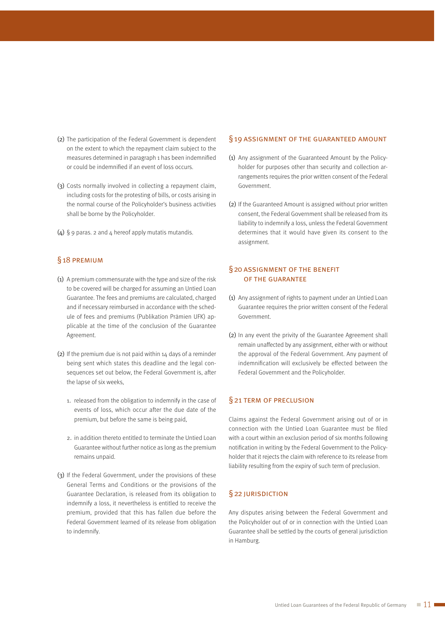- (2) The participation of the Federal Government is dependent on the extent to which the repayment claim subject to the measures determined in paragraph 1 has been indemnified or could be indemnified if an event of loss occurs.
- (3) Costs normally involved in collecting a repayment claim, including costs for the protesting of bills, or costs arising in the normal course of the Policyholder's business activities shall be borne by the Policyholder.
- (4)  $\S$  9 paras. 2 and 4 hereof apply mutatis mutandis.

## §18 premium

- (1) A premium commensurate with the type and size of the risk to be covered will be charged for assuming an Untied Loan Guarantee. The fees and premiums are calculated, charged and if necessary reimbursed in accordance with the schedule of fees and premiums (Publikation Prämien UFK) applicable at the time of the conclusion of the Guarantee Agreement.
- (2) If the premium due is not paid within  $14$  days of a reminder being sent which states this deadline and the legal consequences set out below, the Federal Government is, after the lapse of six weeks,
	- 1. released from the obligation to indemnify in the case of events of loss, which occur after the due date of the premium, but before the same is being paid,
	- 2. in addition thereto entitled to terminate the Untied Loan Guarantee without further notice as long as the premium remains unpaid.
- (3) If the Federal Government, under the provisions of these General Terms and Conditions or the provisions of the Guarantee Declaration, is released from its obligation to indemnify a loss, it nevertheless is entitled to receive the premium, provided that this has fallen due before the Federal Government learned of its release from obligation to indemnify.

#### §19 assignment of the guaranteed amount

- (1) Any assignment of the Guaranteed Amount by the Policyholder for purposes other than security and collection arrangements requires the prior written consent of the Federal Government.
- (2) If the Guaranteed Amount is assigned without prior written consent, the Federal Government shall be released from its liability to indemnify a loss, unless the Federal Government determines that it would have given its consent to the assignment.

## §20 assignment of the benefit of the guarantee

- (1) Any assignment of rights to payment under an Untied Loan Guarantee requires the prior written consent of the Federal Government.
- (2) In any event the privity of the Guarantee Agreement shall remain unaffected by any assignment, either with or without the approval of the Federal Government. Any payment of indemnification will exclusively be effected between the Federal Government and the Policyholder.

### §21 term of preclusion

Claims against the Federal Government arising out of or in connection with the Untied Loan Guarantee must be filed with a court within an exclusion period of six months following notification in writing by the Federal Government to the Policyholder that it rejects the claim with reference to its release from liability resulting from the expiry of such term of preclusion.

## §22 JURISDICTION

Any disputes arising between the Federal Government and the Policyholder out of or in connection with the Untied Loan Guarantee shall be settled by the courts of general jurisdiction in Hamburg.